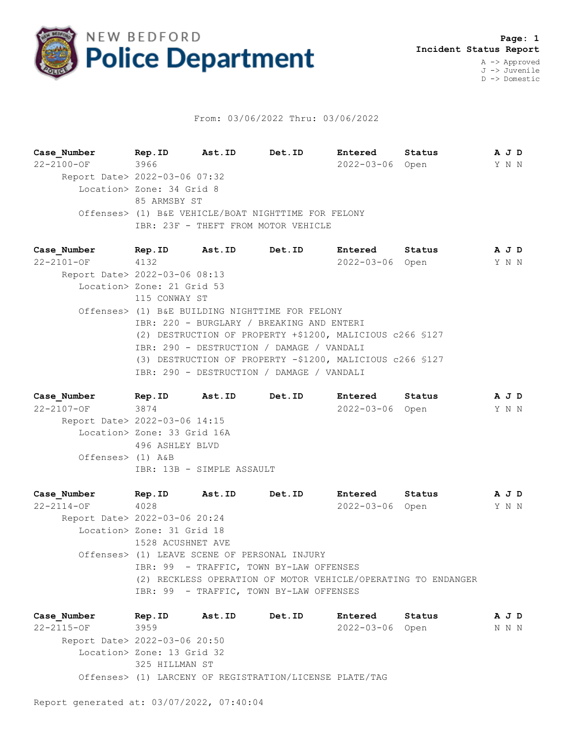

## From: 03/06/2022 Thru: 03/06/2022

**Case\_Number Rep.ID Ast.ID Det.ID Entered Status A J D** 22-2100-OF 3966 2022-03-06 Open Y N N Report Date> 2022-03-06 07:32 Location> Zone: 34 Grid 8 85 ARMSBY ST Offenses> (1) B&E VEHICLE/BOAT NIGHTTIME FOR FELONY IBR: 23F - THEFT FROM MOTOR VEHICLE

**Case\_Number Rep.ID Ast.ID Det.ID Entered Status A J D** 22-2101-OF 4132 2022-03-06 Open Y N N Report Date> 2022-03-06 08:13 Location> Zone: 21 Grid 53 115 CONWAY ST Offenses> (1) B&E BUILDING NIGHTTIME FOR FELONY IBR: 220 - BURGLARY / BREAKING AND ENTERI (2) DESTRUCTION OF PROPERTY +\$1200, MALICIOUS c266 §127 IBR: 290 - DESTRUCTION / DAMAGE / VANDALI (3) DESTRUCTION OF PROPERTY -\$1200, MALICIOUS c266 §127 IBR: 290 - DESTRUCTION / DAMAGE / VANDALI

**Case\_Number Rep.ID Ast.ID Det.ID Entered Status A J D** 22-2107-OF 3874 2022-03-06 Open Y N N Report Date> 2022-03-06 14:15 Location> Zone: 33 Grid 16A 496 ASHLEY BLVD Offenses> (1) A&B IBR: 13B - SIMPLE ASSAULT

**Case\_Number Rep.ID Ast.ID Det.ID Entered Status A J D** 22-2114-OF 4028 2022-03-06 Open Y N N Report Date> 2022-03-06 20:24 Location> Zone: 31 Grid 18 1528 ACUSHNET AVE Offenses> (1) LEAVE SCENE OF PERSONAL INJURY IBR: 99 - TRAFFIC, TOWN BY-LAW OFFENSES (2) RECKLESS OPERATION OF MOTOR VEHICLE/OPERATING TO ENDANGER IBR: 99 - TRAFFIC, TOWN BY-LAW OFFENSES

**Case\_Number Rep.ID Ast.ID Det.ID Entered Status A J D** 22-2115-OF 3959 2022-03-06 Open N N N Report Date> 2022-03-06 20:50 Location> Zone: 13 Grid 32 325 HILLMAN ST Offenses> (1) LARCENY OF REGISTRATION/LICENSE PLATE/TAG